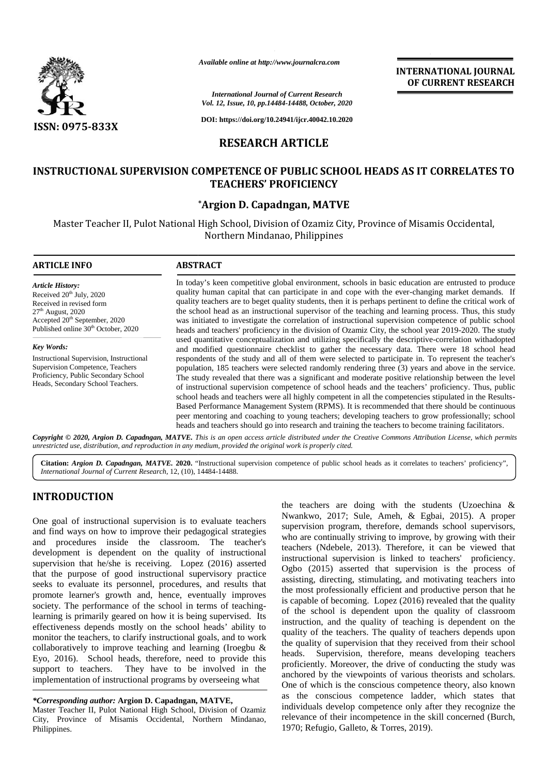

*Available online at http://www.journalcra.com*

*International Journal of Current Research Vol. 12, Issue, 10, pp.14484-14488, October, 2020*

**DOI: https://doi.org/10.24941/ijcr.40042.10.2020**

# **RESEARCH ARTICLE**

# **INSTRUCTIONAL SUPERVISION COMPETENCE OF PUBLIC SCHOOL HEADS AS IT CORRELATES TO SCHOOL HEADS TEACHERS' PROFICIENCY**

## **\*Argion D. Capadngan, MATVE \***

Master Teacher II, Pulot National High School, Division of Ozamiz City, Province of Misamis Occidental, Pulot National Province Misamis Occidental,Northern Mindanao, Philippines

### **ARTICLE INFO ABSTRACT ARTICLE ABSTRACT**

*Article History:* Received  $20<sup>th</sup>$  July, 2020 Received in revised form Received in revised form<br>27<sup>th</sup> August, 2020 Accepted 20<sup>th</sup> September, 2020 Published online 30<sup>th</sup> October, 2020

*Key Words:* Instructional Supervision, Instructional Supervision Competence, Teachers Proficiency, Public Secondary School Heads, Secondary School Teachers.

In today's keen competitive global environment, schools in basic education are entrusted to produce In quality human capital that can participate in and cope with the ever-changing market demands. If quality human capital that can participate in and cope with the ever-changing market demands. If quality teachers are to beget quality students, then it is perhaps pertinent to define the critical work of the school head as an instructional supervisor of the teaching and learning process. Thus, this study was initiated to investigate the correlation of instructional supervision competence of public school heads and teachers' proficiency in the division of Ozamiz City, the school year 2019-2020. The study used quantitative conceptualization and utilizing specifically the descriptive-correlation withadopted and modified questionnaire checklist to gather the necessary data. There were 18 school head respondents of the study and all of them were selected to participate in. To represent the teacher's population, 185 teachers were selected randomly rendering three (3) years and above in the service. population, 185 teachers were selected randomly rendering three (3) years and above in the service.<br>The study revealed that there was a significant and moderate positive relationship between the level of instructional supervision competence of school heads and the teachers' proficiency. Thus, public school heads and teachers were all highly competent in all the competencies stipulated in the Results- Based Performance Management System (RPMS). It is recommended that there should be continuous peer mentoring and coaching to young teachers; developing teachers to grow professionally; school heads and teachers should go into research and training the teachers to grow professionally; school heads and teachers should go into research and training the teachers to become training facilitators. the school head as an instructional supervisor of the teaching and learning process. Thus, this study was initiated to investigate the correlation of instructional supervision competence of public school heads and teachers of instructional supervision competence of school heads and the teachers' proficiency. Thus, public<br>school heads and teachers were all highly competent in all the competencies stipulated in the Results-<br>Based Performance M *of http://www.journalcra.com* **TEACHERS' PROFICIENCY**<br> **TEACHERS' PROFICIENCY**<br> **TEACHERS' PROFICIENCY**<br> **TEACHERS' PROFICIENCY**<br> **TEACHERS' PROFICIENCY**<br> **EXECTE INFO**<br> **EXECTE INFO**<br> **EXECTE INFO**<br> **EXECTE INFO**<br> **EXECTE INFO**<br> **EXECTE INFO**<br> **EX EXERCISE THE SECTION CONTRACTES THE SECTION SECTION SECTION CONTRACTES THE SECTION CONTRACTES TO A SURVEY AND DURING THE SECTION CONTRACTES THE SECTION CONTRACTES THE SECTION CONTRACTES TO A SURVEY AND DURING THE SECTION** 

Copyright © 2020, Argion D. Capadngan, MATVE. This is an open access article distributed under the Creative Commons Attribution License, which permits unrestricted use, distribution, and reproduction in any medium, provided the original work is properly cited.

**Citation:** *Argion D. Capadngan, MATVE.* 2020. "Instructional supervision competence of public school heads as it correlates to teachers' proficiency", *International Journal of Current Research*, 12, (10), 14484-14488.

# **INTRODUCTION INTRODUCTION**

One goal of instructional supervision is to evaluate teachers  $\frac{1}{2}$ and find ways on how to improve their pedagogical strategies and find ways on how to improve their pedagogical strategies and procedures inside the classroom. The teacher's  $\frac{1}{100}$ development is dependent on the quality of instructional supervision that he/she is receiving. Lopez (2016) asserted  $\alpha$ that the purpose of good instructional supervisory practice seeks to evaluate its personnel, procedures, and results that promote learner's growth and, hence, eventually improves society. The performance of the school in terms of teachinglearning is primarily geared on how it is being supervised. Its effectiveness depends mostly on the school heads' ability to  $\frac{m s}{m s}$ monitor the teachers, to clarify instructional goals, and to work collaboratively to improve teaching and learning (Iroegbu  $\&$  leads Eyo, 2016). School heads, therefore, need to provide this support to teachers. They have to be involved in the monitor the teachers, to clarify instructional goals, and to work<br>collaboratively to improve teaching and learning (Iroegbu &<br>Eyo, 2016). School heads, therefore, need to provide this<br>support to teachers. They have to be i development is dependent on the quality of instructional supervision that he/she is receiving. Lopez (2016) asserted that the purpose of good instructional supervisory practice seeks to evaluate its personnel, procedures, promote learner's growth and, hence, eventually improsociety. The performance of the school in terms of teachi<br>learning is primarily geared on how it is being supervised.

Master Teacher II, Pulot National High School, Division of Ozamiz City, Province of Misamis Occidental, Northern Mindanao, Philippines.

the teachers are doing with the students (Uzoechina & Nwankwo, 2017; Sule, Ameh, & Egbai, 2015). A proper supervision program, therefore, demands school supervisors, who are continually striving to improve, by growing with their teachers (Ndebele, 2013). Therefore, it can be viewed that instructional supervision is linked to teachers' proficiency. Ogbo (2015) asserted that supervision is the process of assisting, directing, stimulating, and motivating teachers into the most professionally efficient and productive person that he is capable of becoming. Lopez (2016) revealed that the quality of the school is dependent upon the quality of classroom instruction, and the quality of teaching is dependent on the quality of the teachers. The quality of teachers depends upon the quality of supervision that they received from their school Supervision, therefore, means developing teachers proficiently. Moreover, the drive of conducting the study was anchored by the viewpoints of various theorists and scholars. One of which is the conscious competence theory, also known as the conscious competence ladder, which states that individuals develop competence only after they recognize the relevance of their incompetence in the skill concerned (Burch, 1970; Refugio, Galleto, & Torres, 2019). One goal of instructional supervision is to evaluate teachers are doing with the students as a more continual in the students. When are doing with the students and procedures instead supervision program, therefore, demands **EXERCT:** The depends of the depends of various school of various scholars. The depends of various scholars. The states the states the states the states the states the states the states the states the states the states th

**INTERNATIONAL JOURNAL OF CURRENT RESEARCH**

*<sup>\*</sup>Corresponding author:* **Argion D. Capadngan, MATVE,** *\*Corresponding*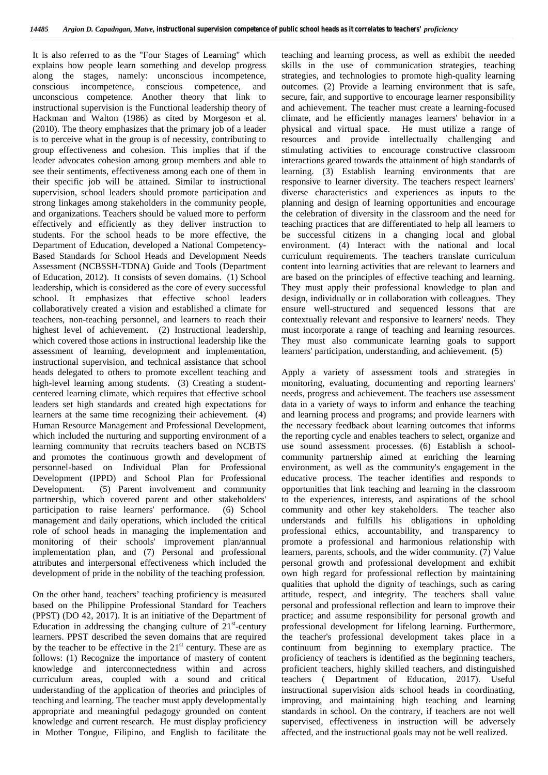It is also referred to as the "Four Stages of Learning" which explains how people learn something and develop progress along the stages, namely: unconscious incompetence, conscious incompetence, conscious competence, and unconscious competence. Another theory that link to instructional supervision is the Functional leadership theory of Hackman and Walton (1986) as cited by Morgeson et al. (2010). The theory emphasizes that the primary job of a leader is to perceive what in the group is of necessity, contributing to group effectiveness and cohesion. This implies that if the leader advocates cohesion among group members and able to see their sentiments, effectiveness among each one of them in their specific job will be attained. Similar to instructional supervision, school leaders should promote participation and strong linkages among stakeholders in the community people, and organizations. Teachers should be valued more to perform effectively and efficiently as they deliver instruction to students. For the school heads to be more effective, the Department of Education, developed a National Competency- Based Standards for School Heads and Development Needs Assessment (NCBSSH-TDNA) Guide and Tools (Department of Education, 2012). It consists of seven domains. (1) School leadership, which is considered as the core of every successful school. It emphasizes that effective school leaders collaboratively created a vision and established a climate for teachers, non-teaching personnel, and learners to reach their highest level of achievement. (2) Instructional leadership, which covered those actions in instructional leadership like the assessment of learning, development and implementation, instructional supervision, and technical assistance that school heads delegated to others to promote excellent teaching and high-level learning among students. (3) Creating a student centered learning climate, which requires that effective school leaders set high standards and created high expectations for learners at the same time recognizing their achievement. (4) Human Resource Management and Professional Development, which included the nurturing and supporting environment of a learning community that recruits teachers based on NCBTS and promotes the continuous growth and development of personnel-based on Individual Plan for Professional Development (IPPD) and School Plan for Professional Development. (5) Parent involvement and community partnership, which covered parent and other stakeholders' participation to raise learners' performance. (6) School management and daily operations, which included the critical role of school heads in managing the implementation and monitoring of their schools' improvement plan/annual implementation plan, and (7) Personal and professional attributes and interpersonal effectiveness which included the development of pride in the nobility of the teaching profession.

On the other hand, teachers' teaching proficiency is measured based on the Philippine Professional Standard for Teachers (PPST) (DO 42, 2017). It is an initiative of the Department of Education in addressing the changing culture of  $21<sup>st</sup>$ -century learners. PPST described the seven domains that are required by the teacher to be effective in the  $21<sup>st</sup>$  century. These are as follows: (1) Recognize the importance of mastery of content knowledge and interconnectedness within and across curriculum areas, coupled with a sound and critical understanding of the application of theories and principles of teaching and learning. The teacher must apply developmentally appropriate and meaningful pedagogy grounded on content knowledge and current research. He must display proficiency in Mother Tongue, Filipino, and English to facilitate the

teaching and learning process, as well as exhibit the needed skills in the use of communication strategies, teaching strategies, and technologies to promote high-quality learning outcomes. (2) Provide a learning environment that is safe, secure, fair, and supportive to encourage learner responsibility and achievement. The teacher must create a learning-focused climate, and he efficiently manages learners' behavior in a physical and virtual space. He must utilize a range of resources and provide intellectually challenging and stimulating activities to encourage constructive classroom interactions geared towards the attainment of high standards of learning. (3) Establish learning environments that are responsive to learner diversity. The teachers respect learners' diverse characteristics and experiences as inputs to the planning and design of learning opportunities and encourage the celebration of diversity in the classroom and the need for teaching practices that are differentiated to help all learners to be successful citizens in a changing local and global environment. (4) Interact with the national and local curriculum requirements. The teachers translate curriculum content into learning activities that are relevant to learners and are based on the principles of effective teaching and learning. They must apply their professional knowledge to plan and design, individually or in collaboration with colleagues. They ensure well-structured and sequenced lessons that are contextually relevant and responsive to learners' needs. They must incorporate a range of teaching and learning resources. They must also communicate learning goals to support learners' participation, understanding, and achievement. (5)

Apply a variety of assessment tools and strategies in monitoring, evaluating, documenting and reporting learners' needs, progress and achievement. The teachers use assessment data in a variety of ways to inform and enhance the teaching and learning process and programs; and provide learners with the necessary feedback about learning outcomes that informs the reporting cycle and enables teachers to select, organize and use sound assessment processes. (6) Establish a school community partnership aimed at enriching the learning environment, as well as the community's engagement in the educative process. The teacher identifies and responds to opportunities that link teaching and learning in the classroom to the experiences, interests, and aspirations of the school community and other key stakeholders. The teacher also understands and fulfills his obligations in upholding professional ethics, accountability, and transparency to promote a professional and harmonious relationship with learners, parents, schools, and the wider community. (7) Value personal growth and professional development and exhibit own high regard for professional reflection by maintaining qualities that uphold the dignity of teachings, such as caring attitude, respect, and integrity. The teachers shall value personal and professional reflection and learn to improve their practice; and assume responsibility for personal growth and professional development for lifelong learning. Furthermore, the teacher's professional development takes place in a continuum from beginning to exemplary practice. The proficiency of teachers is identified as the beginning teachers, proficient teachers, highly skilled teachers, and distinguished teachers ( Department of Education, 2017). Useful instructional supervision aids school heads in coordinating, improving, and maintaining high teaching and learning standards in school. On the contrary, if teachers are not well supervised, effectiveness in instruction will be adversely affected, and the instructional goals may not be well realized.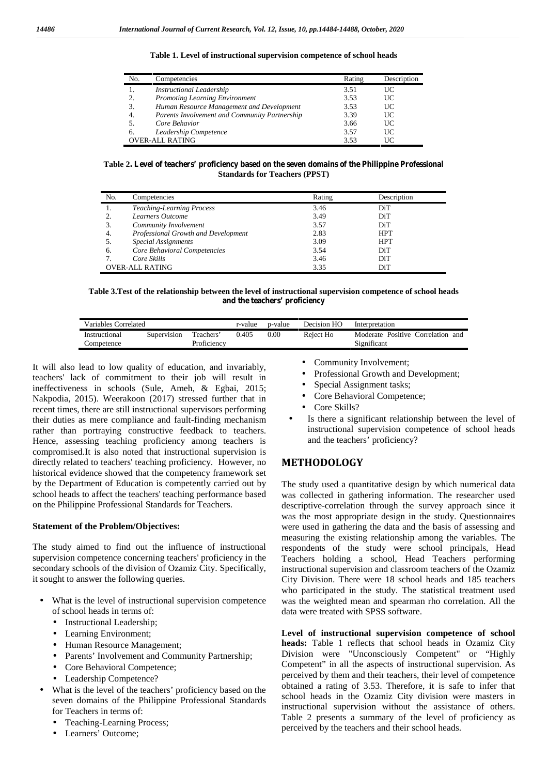| No.                    | Competencies                                  | Rating | Description |
|------------------------|-----------------------------------------------|--------|-------------|
|                        | <b>Instructional Leadership</b>               | 3.51   | UC          |
| 2.                     | <b>Promoting Learning Environment</b>         | 3.53   | UC          |
| 3.                     | Human Resource Management and Development     | 3.53   | UC          |
| 4.                     | Parents Involvement and Community Partnership | 3.39   | UC          |
|                        | Core Behavior                                 | 3.66   | UC          |
| 6.                     | Leadership Competence                         | 3.57   | UC          |
| <b>OVER-ALL RATING</b> |                                               | 3.53   | UC          |

**Table 1. Level of instructional supervision competence of school heads**

**Table 2. Level of teachers' proficiency based on the seven domains of the Philippine Professional Standards for Teachers (PPST)**

| No. | Competencies                        | Rating | Description |
|-----|-------------------------------------|--------|-------------|
|     | <b>Teaching-Learning Process</b>    | 3.46   | DiT         |
|     | Learners Outcome                    | 3.49   | DiT         |
|     | Community Involvement               | 3.57   | DiT         |
| 4.  | Professional Growth and Development | 2.83   | <b>HPT</b>  |
|     | <b>Special Assignments</b>          | 3.09   | <b>HPT</b>  |
| 6.  | Core Behavioral Competencies        | 3.54   | DiT         |
|     | Core Skills                         | 3.46   | DiT         |
|     | <b>OVER-ALL RATING</b>              | 3.35   | DiT         |

**Table 3.Test of the relationship between the level of instructional supervision competence of school heads and the teachers' proficiency**

| Variables Correlated        |             |                          | r-value | p-value  | Decision HO | Interpretation                                   |
|-----------------------------|-------------|--------------------------|---------|----------|-------------|--------------------------------------------------|
| Instructional<br>Competence | Supervision | Teachers'<br>Proficiencv | 0.405   | $0.00\,$ | Reject Ho   | Moderate Positive Correlation and<br>Significant |

It will also lead to low quality of education, and invariably, teachers' lack of commitment to their job will result in ineffectiveness in schools (Sule, Ameh, & Egbai, 2015; Nakpodia, 2015). Weerakoon (2017) stressed further that in recent times, there are still instructional supervisors performing their duties as mere compliance and fault-finding mechanism rather than portraying constructive feedback to teachers. Hence, assessing teaching proficiency among teachers is compromised.It is also noted that instructional supervision is directly related to teachers' teaching proficiency. However, no historical evidence showed that the competency framework set by the Department of Education is competently carried out by school heads to affect the teachers' teaching performance based on the Philippine Professional Standards for Teachers.

### **Statement of the Problem/Objectives:**

The study aimed to find out the influence of instructional supervision competence concerning teachers' proficiency in the secondary schools of the division of Ozamiz City. Specifically, it sought to answer the following queries.

- What is the level of instructional supervision competence of school heads in terms of:
	- Instructional Leadership;
	- Learning Environment;
	- Human Resource Management;
	- Parents' Involvement and Community Partnership;
	- Core Behavioral Competence;
	- Leadership Competence?
- What is the level of the teachers' proficiency based on the seven domains of the Philippine Professional Standards for Teachers in terms of:
	- Teaching-Learning Process;
	- Learners' Outcome;

Community Involvement;

Professional Growth and Development;

Special Assignment tasks;

Core Behavioral Competence;

- Core Skills?
- Is there a significant relationship between the level of instructional supervision competence of school heads and the teachers' proficiency?

## **METHODOLOGY**

The study used a quantitative design by which numerical data was collected in gathering information. The researcher used descriptive-correlation through the survey approach since it was the most appropriate design in the study. Questionnaires were used in gathering the data and the basis of assessing and measuring the existing relationship among the variables. The respondents of the study were school principals, Head Teachers holding a school, Head Teachers performing instructional supervision and classroom teachers of the Ozamiz City Division. There were 18 school heads and 185 teachers who participated in the study. The statistical treatment used was the weighted mean and spearman rho correlation. All the data were treated with SPSS software.

**Level of instructional supervision competence of school heads:** Table 1 reflects that school heads in Ozamiz City Division were "Unconsciously Competent" or "Highly Competent" in all the aspects of instructional supervision. As perceived by them and their teachers, their level of competence obtained a rating of 3.53. Therefore, it is safe to infer that school heads in the Ozamiz City division were masters in instructional supervision without the assistance of others. Table 2 presents a summary of the level of proficiency as perceived by the teachers and their school heads.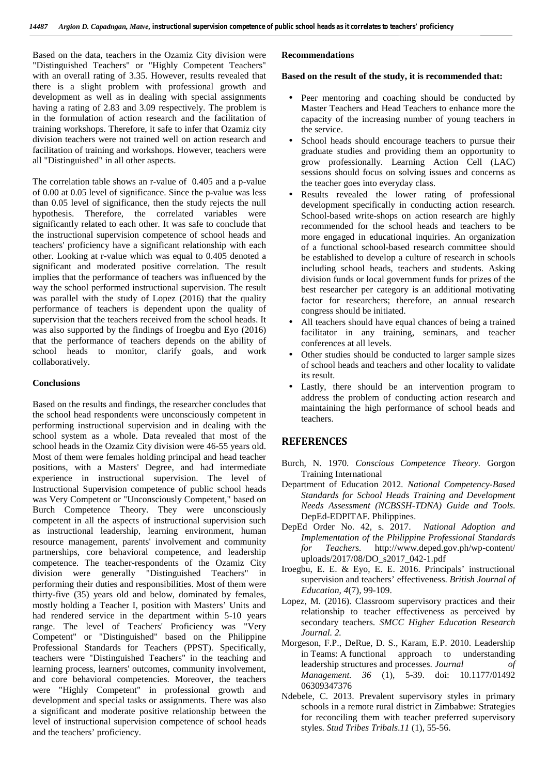Based on the data, teachers in the Ozamiz City division were "Distinguished Teachers" or "Highly Competent Teachers" with an overall rating of 3.35. However, results revealed that there is a slight problem with professional growth and development as well as in dealing with special assignments having a rating of 2.83 and 3.09 respectively. The problem is in the formulation of action research and the facilitation of training workshops. Therefore, it safe to infer that Ozamiz city division teachers were not trained well on action research and facilitation of training and workshops. However, teachers were all "Distinguished" in all other aspects.

The correlation table shows an r-value of 0.405 and a p-value of 0.00 at 0.05 level of significance. Since the p-value was less than 0.05 level of significance, then the study rejects the null hypothesis. Therefore, the correlated variables were significantly related to each other. It was safe to conclude that the instructional supervision competence of school heads and teachers' proficiency have a significant relationship with each other. Looking at r-value which was equal to 0.405 denoted a significant and moderated positive correlation. The result implies that the performance of teachers was influenced by the way the school performed instructional supervision. The result was parallel with the study of Lopez (2016) that the quality performance of teachers is dependent upon the quality of supervision that the teachers received from the school heads. It was also supported by the findings of Iroegbu and Eyo (2016) that the performance of teachers depends on the ability of school heads to monitor, clarify goals, and work collaboratively.

## **Conclusions**

Based on the results and findings, the researcher concludes that the school head respondents were unconsciously competent in performing instructional supervision and in dealing with the school system as a whole. Data revealed that most of the school heads in the Ozamiz City division were 46-55 years old. Most of them were females holding principal and head teacher positions, with a Masters' Degree, and had intermediate experience in instructional supervision. The level of Instructional Supervision competence of public school heads was Very Competent or "Unconsciously Competent," based on Burch Competence Theory. They were unconsciously competent in all the aspects of instructional supervision such as instructional leadership, learning environment, human resource management, parents' involvement and community *mp* partnerships, core behavioral competence, and leadership competence. The teacher-respondents of the Ozamiz City division were generally "Distinguished Teachers" in performing their duties and responsibilities. Most of them were thirty-five (35) years old and below, dominated by females, mostly holding a Teacher I, position with Masters' Units and had rendered service in the department within 5-10 years range. The level of Teachers' Proficiency was "Very Competent" or "Distinguished" based on the Philippine Professional Standards for Teachers (PPST). Specifically, teachers were "Distinguished Teachers" in the teaching and learning process, learners' outcomes, community involvement, and core behavioral competencies. Moreover, the teachers were "Highly Competent" in professional growth and development and special tasks or assignments. There was also a significant and moderate positive relationship between the level of instructional supervision competence of school heads and the teachers' proficiency.

## **Recommendations**

## **Based on the result of the study, it is recommended that:**

- Peer mentoring and coaching should be conducted by Master Teachers and Head Teachers to enhance more the capacity of the increasing number of young teachers in the service.
- School heads should encourage teachers to pursue their graduate studies and providing them an opportunity to grow professionally. Learning Action Cell (LAC) sessions should focus on solving issues and concerns as the teacher goes into everyday class.
- Results revealed the lower rating of professional development specifically in conducting action research. School-based write-shops on action research are highly recommended for the school heads and teachers to be more engaged in educational inquiries. An organization of a functional school-based research committee should be established to develop a culture of research in schools including school heads, teachers and students. Asking division funds or local government funds for prizes of the best researcher per category is an additional motivating factor for researchers; therefore, an annual research congress should be initiated.
- All teachers should have equal chances of being a trained facilitator in any training, seminars, and teacher conferences at all levels.
- Other studies should be conducted to larger sample sizes of school heads and teachers and other locality to validate its result.
- Lastly, there should be an intervention program to address the problem of conducting action research and maintaining the high performance of school heads and teachers.

## **REFERENCES**

- Burch, N. 1970. *Conscious Competence Theory.* Gorgon Training International
- Department of Education 2012*. National Competency-Based Standards for School Heads Training and Development Needs Assessment (NCBSSH-TDNA) Guide and Tools*. DepEd-EDPITAF. Philippines.
- DepEd Order No. 42, s. 2017. *National Adoption and Implementation of the Philippine Professional Standards for Teachers.* http://www.deped.gov.ph/wp-content/ uploads/2017/08/DO\_s2017\_042-1.pdf
- Iroegbu, E. E. & Eyo, E. E. 2016. Principals' instructional supervision and teachers' effectiveness. *British Journal of Education, 4*(7)*,* 99-109.
- Lopez, M. (2016). Classroom supervisory practices and their relationship to teacher effectiveness as perceived by secondary teachers. *SMCC Higher Education Research Journal. 2.*
- Morgeson, F.P., DeRue, D. S., Karam, E.P. 2010. Leadership in Teams: A functional approach to understanding leadership structures and processes. *Journal of Management. 36* (1), 5-39. doi: 10.1177/01492 06309347376
- Ndebele, C. 2013. Prevalent supervisory styles in primary schools in a remote rural district in Zimbabwe: Strategies for reconciling them with teacher preferred supervisory styles. *Stud Tribes Tribals*.*11* (1), 55-56.